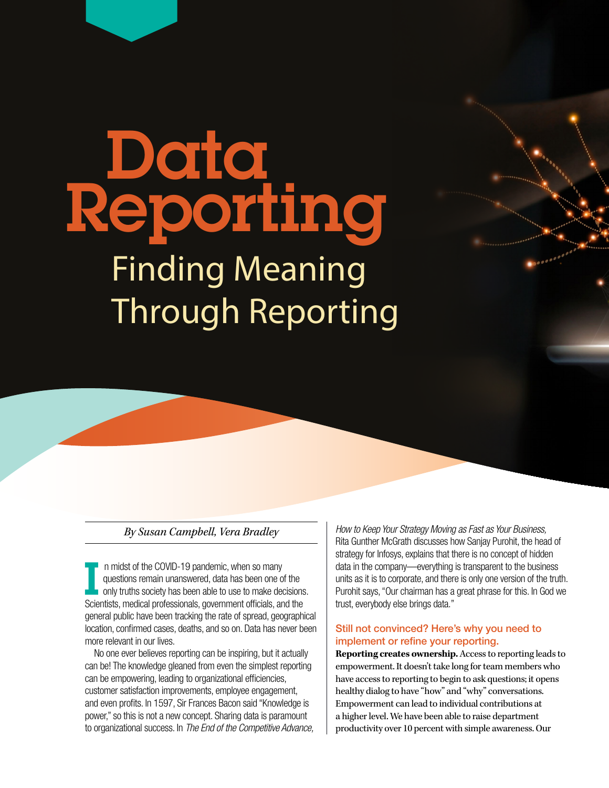# **Data** Reporting Finding Meaning Through Reporting

## *By Susan Campbell, Vera Bradley*

I n midst of the COVID-19 pandemic, when so many<br>questions remain unanswered, data has been one of the<br>only truths society has been able to use to make decisions.<br>Scientists medical professionals government officials and t questions remain unanswered, data has been one of the Scientists, medical professionals, government officials, and the general public have been tracking the rate of spread, geographical location, confirmed cases, deaths, and so on. Data has never been more relevant in our lives.

 No one ever believes reporting can be inspiring, but it actually can be! The knowledge gleaned from even the simplest reporting can be empowering, leading to organizational efficiencies, customer satisfaction improvements, employee engagement, and even profits. In 1597, Sir Frances Bacon said "Knowledge is power," so this is not a new concept. Sharing data is paramount to organizational success. In *The End of the Competitive Advance,*  *How to Keep Your Strategy Moving as Fast as Your Business,* Rita Gunther McGrath discusses how Sanjay Purohit, the head of strategy for Infosys, explains that there is no concept of hidden data in the company—everything is transparent to the business units as it is to corporate, and there is only one version of the truth. Purohit says, "Our chairman has a great phrase for this. In God we trust, everybody else brings data."

# Still not convinced? Here's why you need to implement or refine your reporting.

**Reporting creates ownership.** Access to reporting leads to empowerment. It doesn't take long for team members who have access to reporting to begin to ask questions; it opens healthy dialog to have "how" and "why" conversations. Empowerment can lead to individual contributions at a higher level. We have been able to raise department productivity over 10 percent with simple awareness. Our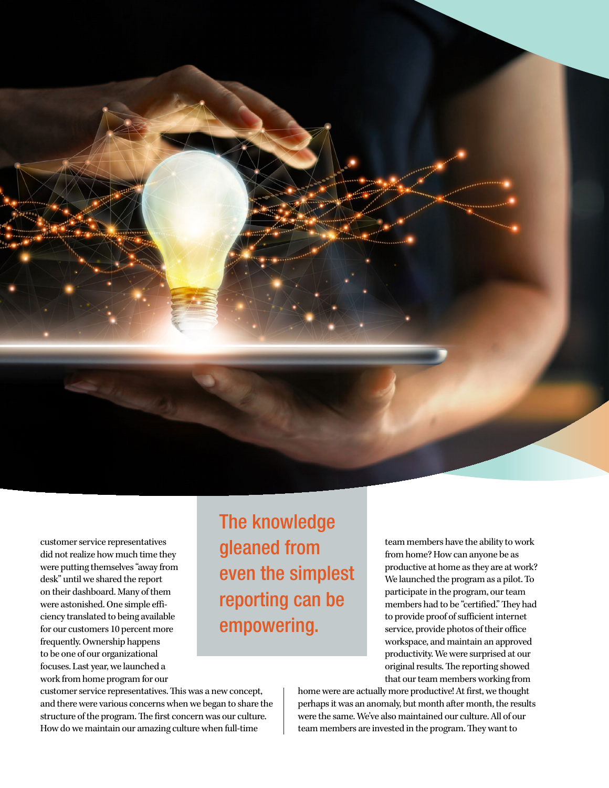

customer service representatives did not realize how much time they were putting themselves "away from desk" until we shared the report on their dashboard. Many of them were astonished. One simple efficiency translated to being available for our customers 10 percent more frequently. Ownership happens to be one of our organizational focuses. Last year, we launched a work from home program for our

The knowledge gleaned from even the simplest reporting can be empowering.

team members have the ability to work from home? How can anyone be as productive at home as they are at work? We launched the program as a pilot. To participate in the program, our team members had to be "certified." They had to provide proof of sufficient internet service, provide photos of their office workspace, and maintain an approved productivity. We were surprised at our original results. The reporting showed that our team members working from

customer service representatives. This was a new concept, and there were various concerns when we began to share the structure of the program. The first concern was our culture. How do we maintain our amazing culture when full-time

home were are actually more productive! At first, we thought perhaps it was an anomaly, but month after month, the results were the same. We've also maintained our culture. All of our team members are invested in the program. They want to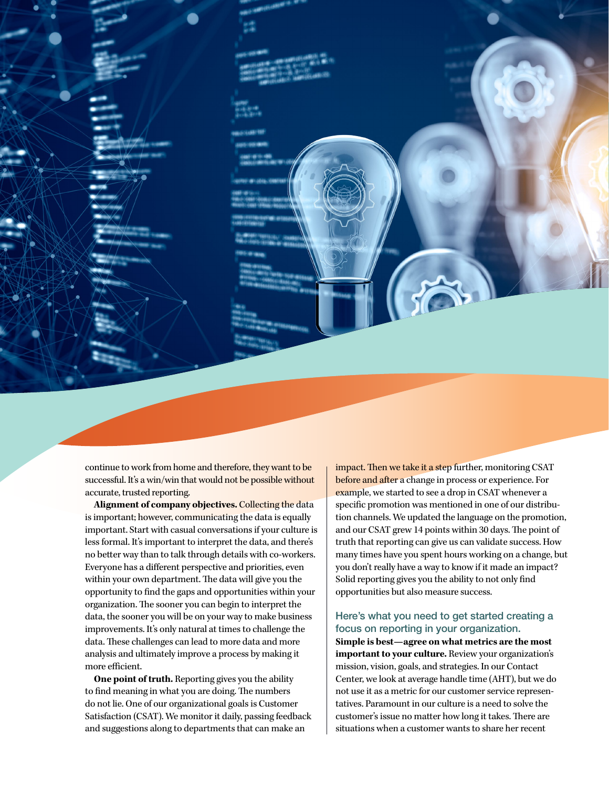continue to work from home and therefore, they want to be successful. It's a win/win that would not be possible without accurate, trusted reporting.

**Alignment of company objectives.** Collecting the data is important; however, communicating the data is equally important. Start with casual conversations if your culture is less formal. It's important to interpret the data, and there's no better way than to talk through details with co-workers. Everyone has a different perspective and priorities, even within your own department. The data will give you the opportunity to find the gaps and opportunities within your organization. The sooner you can begin to interpret the data, the sooner you will be on your way to make business improvements. It's only natural at times to challenge the data. These challenges can lead to more data and more analysis and ultimately improve a process by making it more efficient.

**One point of truth.** Reporting gives you the ability to find meaning in what you are doing. The numbers do not lie. One of our organizational goals is Customer Satisfaction (CSAT). We monitor it daily, passing feedback and suggestions along to departments that can make an

impact. Then we take it a step further, monitoring CSAT before and after a change in process or experience. For example, we started to see a drop in CSAT whenever a specific promotion was mentioned in one of our distribution channels. We updated the language on the promotion, and our CSAT grew 14 points within 30 days. The point of truth that reporting can give us can validate success. How many times have you spent hours working on a change, but you don't really have a way to know if it made an impact? Solid reporting gives you the ability to not only find opportunities but also measure success.

## Here's what you need to get started creating a focus on reporting in your organization.

**Simple is best—agree on what metrics are the most important to your culture.** Review your organization's mission, vision, goals, and strategies. In our Contact Center, we look at average handle time (AHT), but we do not use it as a metric for our customer service representatives. Paramount in our culture is a need to solve the customer's issue no matter how long it takes. There are situations when a customer wants to share her recent